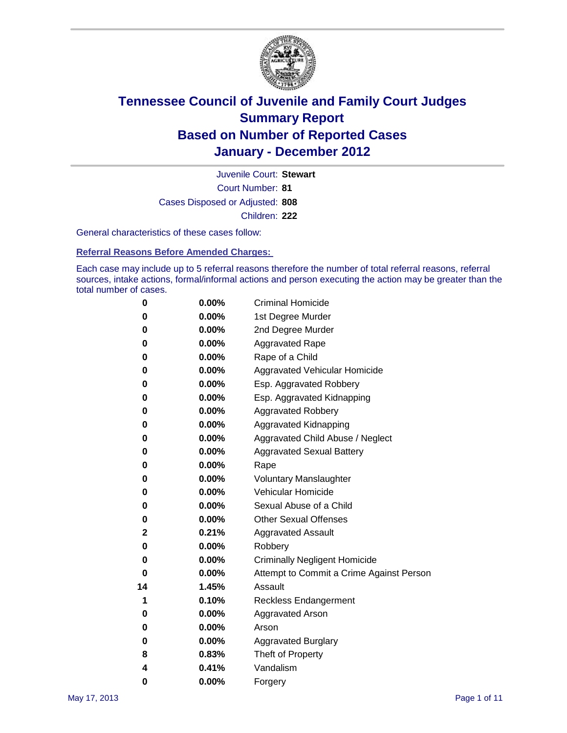

Court Number: **81** Juvenile Court: **Stewart** Cases Disposed or Adjusted: **808** Children: **222**

General characteristics of these cases follow:

**Referral Reasons Before Amended Charges:** 

Each case may include up to 5 referral reasons therefore the number of total referral reasons, referral sources, intake actions, formal/informal actions and person executing the action may be greater than the total number of cases.

| 0  | 0.00%    | <b>Criminal Homicide</b>                 |  |  |
|----|----------|------------------------------------------|--|--|
| 0  | 0.00%    | 1st Degree Murder                        |  |  |
| 0  | 0.00%    | 2nd Degree Murder                        |  |  |
| 0  | 0.00%    | <b>Aggravated Rape</b>                   |  |  |
| 0  | 0.00%    | Rape of a Child                          |  |  |
| 0  | 0.00%    | Aggravated Vehicular Homicide            |  |  |
| 0  | 0.00%    | Esp. Aggravated Robbery                  |  |  |
| 0  | 0.00%    | Esp. Aggravated Kidnapping               |  |  |
| 0  | 0.00%    | <b>Aggravated Robbery</b>                |  |  |
| 0  | 0.00%    | Aggravated Kidnapping                    |  |  |
| 0  | 0.00%    | Aggravated Child Abuse / Neglect         |  |  |
| 0  | 0.00%    | <b>Aggravated Sexual Battery</b>         |  |  |
| 0  | 0.00%    | Rape                                     |  |  |
| 0  | 0.00%    | <b>Voluntary Manslaughter</b>            |  |  |
| 0  | 0.00%    | Vehicular Homicide                       |  |  |
| 0  | 0.00%    | Sexual Abuse of a Child                  |  |  |
| 0  | 0.00%    | <b>Other Sexual Offenses</b>             |  |  |
| 2  | 0.21%    | <b>Aggravated Assault</b>                |  |  |
| 0  | $0.00\%$ | Robbery                                  |  |  |
| 0  | 0.00%    | <b>Criminally Negligent Homicide</b>     |  |  |
| 0  | 0.00%    | Attempt to Commit a Crime Against Person |  |  |
| 14 | 1.45%    | Assault                                  |  |  |
| 1  | 0.10%    | <b>Reckless Endangerment</b>             |  |  |
| 0  | 0.00%    | <b>Aggravated Arson</b>                  |  |  |
| 0  | 0.00%    | Arson                                    |  |  |
| 0  | 0.00%    | <b>Aggravated Burglary</b>               |  |  |
| 8  | 0.83%    | Theft of Property                        |  |  |
| 4  | 0.41%    | Vandalism                                |  |  |
| 0  | 0.00%    | Forgery                                  |  |  |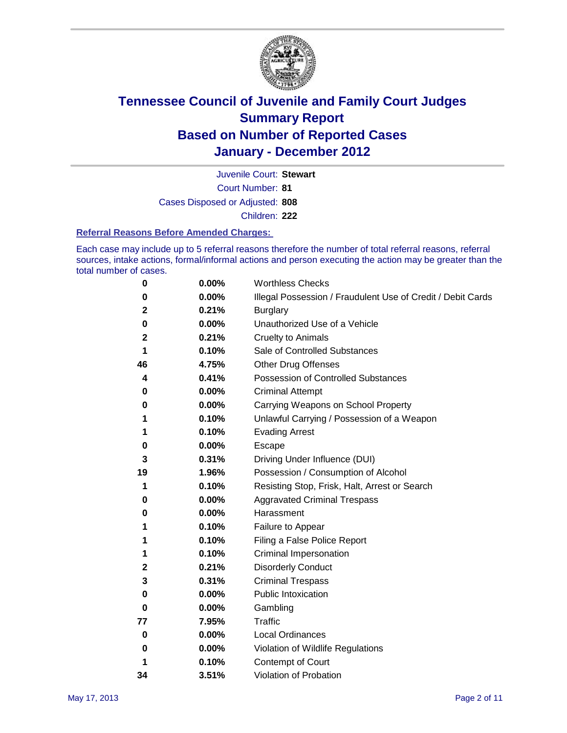

Court Number: **81** Juvenile Court: **Stewart** Cases Disposed or Adjusted: **808** Children: **222**

### **Referral Reasons Before Amended Charges:**

Each case may include up to 5 referral reasons therefore the number of total referral reasons, referral sources, intake actions, formal/informal actions and person executing the action may be greater than the total number of cases.

| 0  | 0.00% | <b>Worthless Checks</b>                                     |
|----|-------|-------------------------------------------------------------|
| 0  | 0.00% | Illegal Possession / Fraudulent Use of Credit / Debit Cards |
| 2  | 0.21% | <b>Burglary</b>                                             |
| 0  | 0.00% | Unauthorized Use of a Vehicle                               |
| 2  | 0.21% | <b>Cruelty to Animals</b>                                   |
| 1  | 0.10% | Sale of Controlled Substances                               |
| 46 | 4.75% | <b>Other Drug Offenses</b>                                  |
| 4  | 0.41% | Possession of Controlled Substances                         |
| 0  | 0.00% | <b>Criminal Attempt</b>                                     |
| 0  | 0.00% | Carrying Weapons on School Property                         |
| 1  | 0.10% | Unlawful Carrying / Possession of a Weapon                  |
| 1  | 0.10% | <b>Evading Arrest</b>                                       |
| 0  | 0.00% | Escape                                                      |
| 3  | 0.31% | Driving Under Influence (DUI)                               |
| 19 | 1.96% | Possession / Consumption of Alcohol                         |
| 1  | 0.10% | Resisting Stop, Frisk, Halt, Arrest or Search               |
| 0  | 0.00% | <b>Aggravated Criminal Trespass</b>                         |
| 0  | 0.00% | Harassment                                                  |
| 1  | 0.10% | Failure to Appear                                           |
| 1  | 0.10% | Filing a False Police Report                                |
| 1  | 0.10% | Criminal Impersonation                                      |
| 2  | 0.21% | <b>Disorderly Conduct</b>                                   |
| 3  | 0.31% | <b>Criminal Trespass</b>                                    |
| 0  | 0.00% | Public Intoxication                                         |
| 0  | 0.00% | Gambling                                                    |
| 77 | 7.95% | Traffic                                                     |
| 0  | 0.00% | <b>Local Ordinances</b>                                     |
| 0  | 0.00% | Violation of Wildlife Regulations                           |
| 1  | 0.10% | Contempt of Court                                           |
| 34 | 3.51% | Violation of Probation                                      |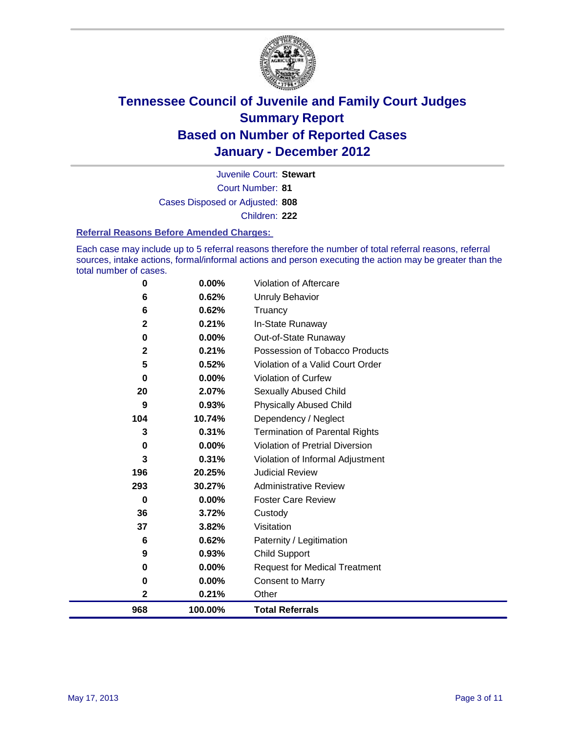

Court Number: **81** Juvenile Court: **Stewart** Cases Disposed or Adjusted: **808** Children: **222**

### **Referral Reasons Before Amended Charges:**

Each case may include up to 5 referral reasons therefore the number of total referral reasons, referral sources, intake actions, formal/informal actions and person executing the action may be greater than the total number of cases.

| 0              | 0.00%    | Violation of Aftercare                 |
|----------------|----------|----------------------------------------|
| 6              | 0.62%    | <b>Unruly Behavior</b>                 |
| 6              | 0.62%    | Truancy                                |
| $\mathbf 2$    | 0.21%    | In-State Runaway                       |
| 0              | 0.00%    | Out-of-State Runaway                   |
| $\overline{2}$ | 0.21%    | Possession of Tobacco Products         |
| 5              | 0.52%    | Violation of a Valid Court Order       |
| 0              | 0.00%    | Violation of Curfew                    |
| 20             | 2.07%    | Sexually Abused Child                  |
| 9              | 0.93%    | <b>Physically Abused Child</b>         |
| 104            | 10.74%   | Dependency / Neglect                   |
| 3              | 0.31%    | <b>Termination of Parental Rights</b>  |
| $\bf{0}$       | $0.00\%$ | <b>Violation of Pretrial Diversion</b> |
| 3              | 0.31%    | Violation of Informal Adjustment       |
| 196            | 20.25%   | <b>Judicial Review</b>                 |
| 293            | 30.27%   | <b>Administrative Review</b>           |
| $\bf{0}$       | 0.00%    | <b>Foster Care Review</b>              |
| 36             | 3.72%    | Custody                                |
| 37             | 3.82%    | Visitation                             |
| 6              | 0.62%    | Paternity / Legitimation               |
| 9              | 0.93%    | <b>Child Support</b>                   |
| 0              | $0.00\%$ | <b>Request for Medical Treatment</b>   |
| 0              | 0.00%    | <b>Consent to Marry</b>                |
| 2              | 0.21%    | Other                                  |
| 968            | 100.00%  | <b>Total Referrals</b>                 |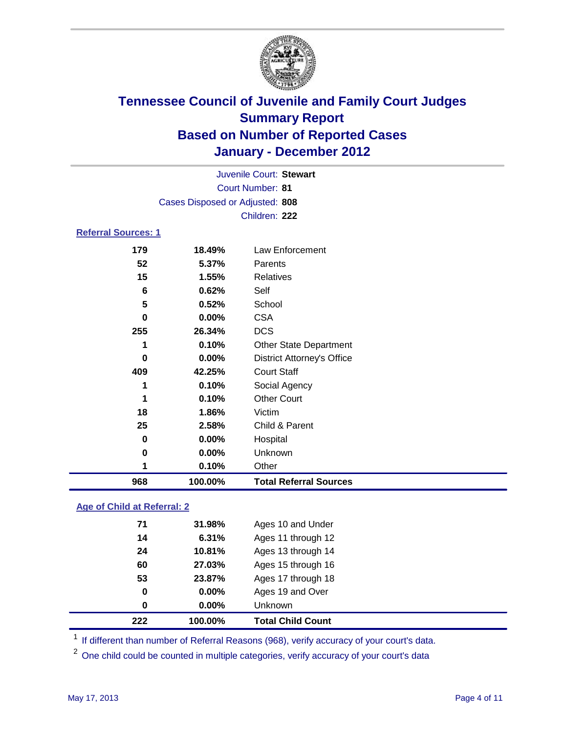

| 968                        | 100.00%                                            | <b>Total Referral Sources</b>     |  |
|----------------------------|----------------------------------------------------|-----------------------------------|--|
| 1                          | 0.10%                                              | Other                             |  |
| 0                          | 0.00%                                              | Unknown                           |  |
| 0                          | 0.00%                                              | Hospital                          |  |
| 25                         | 2.58%                                              | Child & Parent                    |  |
| 18                         | 1.86%                                              | Victim                            |  |
| 1                          | 0.10%                                              | <b>Other Court</b>                |  |
| 1                          | 0.10%                                              | Social Agency                     |  |
| 409                        | 42.25%                                             | <b>Court Staff</b>                |  |
| 0                          | 0.00%                                              | <b>District Attorney's Office</b> |  |
| 1                          | 0.10%                                              | <b>Other State Department</b>     |  |
| 255                        | 26.34%                                             | <b>DCS</b>                        |  |
| 0                          | 0.00%                                              | <b>CSA</b>                        |  |
| 5                          | 0.52%                                              | School                            |  |
| 6                          | 0.62%                                              | Self                              |  |
| 15                         | 1.55%                                              | <b>Relatives</b>                  |  |
| 52                         | 5.37%                                              | Parents                           |  |
| 179                        | 18.49%                                             | Law Enforcement                   |  |
| <b>Referral Sources: 1</b> |                                                    |                                   |  |
|                            |                                                    | Children: 222                     |  |
|                            | Cases Disposed or Adjusted: 808                    |                                   |  |
|                            |                                                    |                                   |  |
|                            | Juvenile Court: Stewart<br><b>Court Number: 81</b> |                                   |  |
|                            |                                                    |                                   |  |

### **Age of Child at Referral: 2**

| 222 | 100.00%  | <b>Total Child Count</b> |
|-----|----------|--------------------------|
| 0   | $0.00\%$ | Unknown                  |
| 0   | 0.00%    | Ages 19 and Over         |
| 53  | 23.87%   | Ages 17 through 18       |
| 60  | 27.03%   | Ages 15 through 16       |
| 24  | 10.81%   | Ages 13 through 14       |
| 14  | 6.31%    | Ages 11 through 12       |
| 71  | 31.98%   | Ages 10 and Under        |
|     |          |                          |

<sup>1</sup> If different than number of Referral Reasons (968), verify accuracy of your court's data.

<sup>2</sup> One child could be counted in multiple categories, verify accuracy of your court's data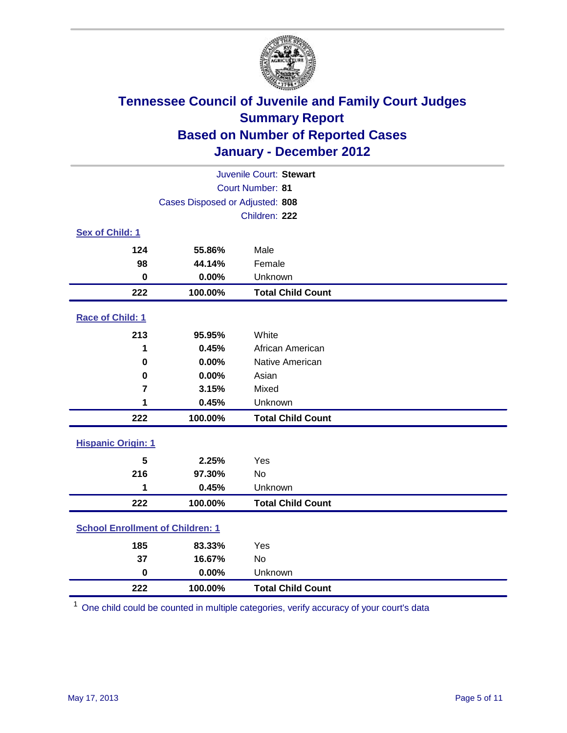

| Juvenile Court: Stewart                 |                                 |                          |  |
|-----------------------------------------|---------------------------------|--------------------------|--|
|                                         | Court Number: 81                |                          |  |
|                                         | Cases Disposed or Adjusted: 808 |                          |  |
|                                         |                                 | Children: 222            |  |
| Sex of Child: 1                         |                                 |                          |  |
| 124                                     | 55.86%                          | Male                     |  |
| 98                                      | 44.14%                          | Female                   |  |
| $\mathbf 0$                             | 0.00%                           | Unknown                  |  |
| 222                                     | 100.00%                         | <b>Total Child Count</b> |  |
| Race of Child: 1                        |                                 |                          |  |
| 213                                     | 95.95%                          | White                    |  |
| 1                                       | 0.45%                           | African American         |  |
| 0                                       | 0.00%                           | Native American          |  |
| $\mathbf 0$                             | 0.00%                           | Asian                    |  |
| $\overline{7}$                          | 3.15%                           | Mixed                    |  |
| 1                                       | 0.45%                           | Unknown                  |  |
| 222                                     | 100.00%                         | <b>Total Child Count</b> |  |
| <b>Hispanic Origin: 1</b>               |                                 |                          |  |
| 5                                       | 2.25%                           | Yes                      |  |
| 216                                     | 97.30%                          | <b>No</b>                |  |
| 1                                       | 0.45%                           | Unknown                  |  |
| 222                                     | 100.00%                         | <b>Total Child Count</b> |  |
| <b>School Enrollment of Children: 1</b> |                                 |                          |  |
| 185                                     | 83.33%                          | Yes                      |  |
| 37                                      | 16.67%                          | No                       |  |
| $\mathbf 0$                             | 0.00%                           | Unknown                  |  |
| 222                                     | 100.00%                         | <b>Total Child Count</b> |  |

One child could be counted in multiple categories, verify accuracy of your court's data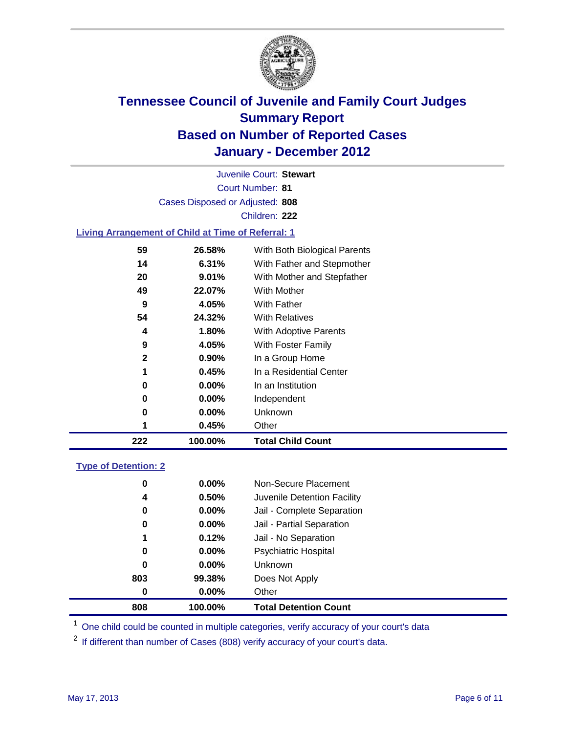

Court Number: **81** Juvenile Court: **Stewart** Cases Disposed or Adjusted: **808** Children: **222**

### **Living Arrangement of Child at Time of Referral: 1**

| 222          | 100.00%  | <b>Total Child Count</b>     |
|--------------|----------|------------------------------|
| 1            | 0.45%    | Other                        |
| 0            | 0.00%    | Unknown                      |
| 0            | $0.00\%$ | Independent                  |
| 0            | 0.00%    | In an Institution            |
| 1            | 0.45%    | In a Residential Center      |
| $\mathbf{2}$ | $0.90\%$ | In a Group Home              |
| 9            | 4.05%    | With Foster Family           |
| 4            | 1.80%    | With Adoptive Parents        |
| 54           | 24.32%   | <b>With Relatives</b>        |
| 9            | 4.05%    | With Father                  |
| 49           | 22.07%   | With Mother                  |
| 20           | 9.01%    | With Mother and Stepfather   |
| 14           | 6.31%    | With Father and Stepmother   |
| 59           | 26.58%   | With Both Biological Parents |
|              |          |                              |

### **Type of Detention: 2**

| 808 | 100.00%  | <b>Total Detention Count</b> |
|-----|----------|------------------------------|
| 0   | $0.00\%$ | Other                        |
| 803 | 99.38%   | Does Not Apply               |
| 0   | 0.00%    | Unknown                      |
| 0   | 0.00%    | <b>Psychiatric Hospital</b>  |
| 1   | 0.12%    | Jail - No Separation         |
| 0   | $0.00\%$ | Jail - Partial Separation    |
| 0   | $0.00\%$ | Jail - Complete Separation   |
| 4   | 0.50%    | Juvenile Detention Facility  |
| 0   | $0.00\%$ | Non-Secure Placement         |
|     |          |                              |

<sup>1</sup> One child could be counted in multiple categories, verify accuracy of your court's data

<sup>2</sup> If different than number of Cases (808) verify accuracy of your court's data.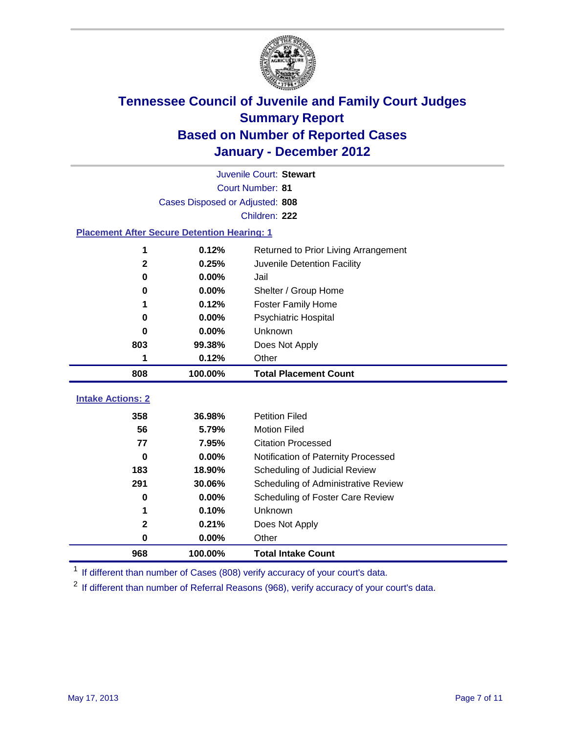

|                                                    | Juvenile Court: Stewart         |                                      |  |  |
|----------------------------------------------------|---------------------------------|--------------------------------------|--|--|
|                                                    | Court Number: 81                |                                      |  |  |
|                                                    | Cases Disposed or Adjusted: 808 |                                      |  |  |
|                                                    |                                 | Children: 222                        |  |  |
| <b>Placement After Secure Detention Hearing: 1</b> |                                 |                                      |  |  |
| 1                                                  | 0.12%                           | Returned to Prior Living Arrangement |  |  |
| $\mathbf 2$                                        | 0.25%                           | Juvenile Detention Facility          |  |  |
| 0                                                  | 0.00%                           | Jail                                 |  |  |
| 0                                                  | 0.00%                           | Shelter / Group Home                 |  |  |
| 1                                                  | 0.12%                           | <b>Foster Family Home</b>            |  |  |
| 0                                                  | 0.00%                           | Psychiatric Hospital                 |  |  |
| 0                                                  | 0.00%                           | Unknown                              |  |  |
| 803                                                | 99.38%                          | Does Not Apply                       |  |  |
| 1                                                  | 0.12%                           | Other                                |  |  |
| 808                                                | 100.00%                         | <b>Total Placement Count</b>         |  |  |
| <b>Intake Actions: 2</b>                           |                                 |                                      |  |  |
|                                                    |                                 |                                      |  |  |
| 358                                                | 36.98%                          | <b>Petition Filed</b>                |  |  |
| 56                                                 | 5.79%                           | <b>Motion Filed</b>                  |  |  |
| 77                                                 | 7.95%                           | <b>Citation Processed</b>            |  |  |
| 0                                                  | 0.00%                           | Notification of Paternity Processed  |  |  |
| 183                                                | 18.90%                          | Scheduling of Judicial Review        |  |  |
| 291                                                | 30.06%                          | Scheduling of Administrative Review  |  |  |
| 0                                                  | 0.00%                           | Scheduling of Foster Care Review     |  |  |
| 1                                                  | 0.10%                           | Unknown                              |  |  |
| 2                                                  | 0.21%                           | Does Not Apply                       |  |  |
| 0                                                  | 0.00%                           | Other                                |  |  |
| 968                                                | 100.00%                         | <b>Total Intake Count</b>            |  |  |

<sup>1</sup> If different than number of Cases (808) verify accuracy of your court's data.

<sup>2</sup> If different than number of Referral Reasons (968), verify accuracy of your court's data.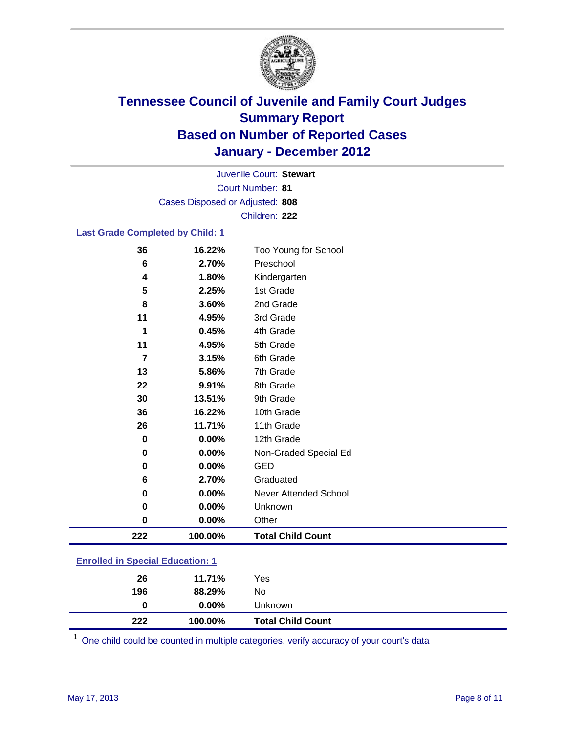

Court Number: **81** Juvenile Court: **Stewart** Cases Disposed or Adjusted: **808** Children: **222**

### **Last Grade Completed by Child: 1**

| 36                                      | 16.22%  | Too Young for School         |  |
|-----------------------------------------|---------|------------------------------|--|
| 6                                       | 2.70%   | Preschool                    |  |
| 4                                       | 1.80%   | Kindergarten                 |  |
| 5                                       | 2.25%   | 1st Grade                    |  |
| 8                                       | 3.60%   | 2nd Grade                    |  |
| 11                                      | 4.95%   | 3rd Grade                    |  |
| 1                                       | 0.45%   | 4th Grade                    |  |
| 11                                      | 4.95%   | 5th Grade                    |  |
| $\overline{7}$                          | 3.15%   | 6th Grade                    |  |
| 13                                      | 5.86%   | 7th Grade                    |  |
| 22                                      | 9.91%   | 8th Grade                    |  |
| 30                                      | 13.51%  | 9th Grade                    |  |
| 36                                      | 16.22%  | 10th Grade                   |  |
| 26                                      | 11.71%  | 11th Grade                   |  |
| 0                                       | 0.00%   | 12th Grade                   |  |
| $\bf{0}$                                | 0.00%   | Non-Graded Special Ed        |  |
| 0                                       | 0.00%   | <b>GED</b>                   |  |
| 6                                       | 2.70%   | Graduated                    |  |
| 0                                       | 0.00%   | <b>Never Attended School</b> |  |
| 0                                       | 0.00%   | Unknown                      |  |
| 0                                       | 0.00%   | Other                        |  |
| 222                                     | 100.00% | <b>Total Child Count</b>     |  |
| <b>Enrolled in Special Education: 1</b> |         |                              |  |

| 222 | 100.00%  | <b>Total Child Count</b> |
|-----|----------|--------------------------|
| 0   | $0.00\%$ | Unknown                  |
| 196 | 88.29%   | No                       |
| 26  | 11.71%   | Yes                      |
|     |          |                          |

One child could be counted in multiple categories, verify accuracy of your court's data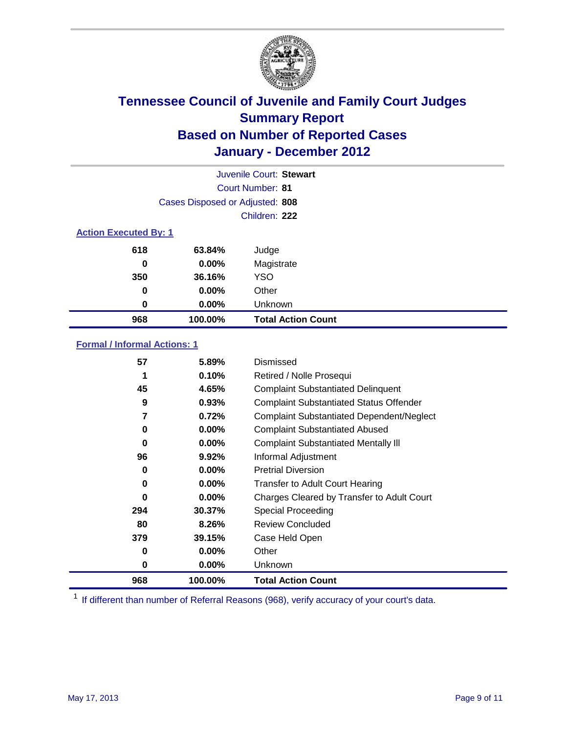

|     | Juvenile Court: Stewart         |                           |  |  |  |
|-----|---------------------------------|---------------------------|--|--|--|
|     |                                 | Court Number: 81          |  |  |  |
|     | Cases Disposed or Adjusted: 808 |                           |  |  |  |
|     |                                 | Children: 222             |  |  |  |
|     | <b>Action Executed By: 1</b>    |                           |  |  |  |
| 618 | 63.84%                          | Judge                     |  |  |  |
| 0   | 0.00%                           | Magistrate                |  |  |  |
| 350 | 36.16%                          | <b>YSO</b>                |  |  |  |
| 0   | 0.00%                           | Other                     |  |  |  |
| 0   | 0.00%                           | Unknown                   |  |  |  |
| 968 | 100.00%                         | <b>Total Action Count</b> |  |  |  |

### **Formal / Informal Actions: 1**

| 968 | 100.00%  | <b>Total Action Count</b>                        |
|-----|----------|--------------------------------------------------|
| 0   | $0.00\%$ | <b>Unknown</b>                                   |
| 0   | $0.00\%$ | Other                                            |
| 379 | 39.15%   | Case Held Open                                   |
| 80  | 8.26%    | Review Concluded                                 |
| 294 | 30.37%   | Special Proceeding                               |
| 0   | $0.00\%$ | Charges Cleared by Transfer to Adult Court       |
| 0   | $0.00\%$ | <b>Transfer to Adult Court Hearing</b>           |
| 0   | $0.00\%$ | <b>Pretrial Diversion</b>                        |
| 96  | $9.92\%$ | Informal Adjustment                              |
| 0   | $0.00\%$ | <b>Complaint Substantiated Mentally III</b>      |
| 0   | $0.00\%$ | <b>Complaint Substantiated Abused</b>            |
| 7   | 0.72%    | <b>Complaint Substantiated Dependent/Neglect</b> |
| 9   | 0.93%    | <b>Complaint Substantiated Status Offender</b>   |
| 45  | 4.65%    | <b>Complaint Substantiated Delinquent</b>        |
|     | 0.10%    | Retired / Nolle Prosequi                         |
| 57  | 5.89%    | Dismissed                                        |

<sup>1</sup> If different than number of Referral Reasons (968), verify accuracy of your court's data.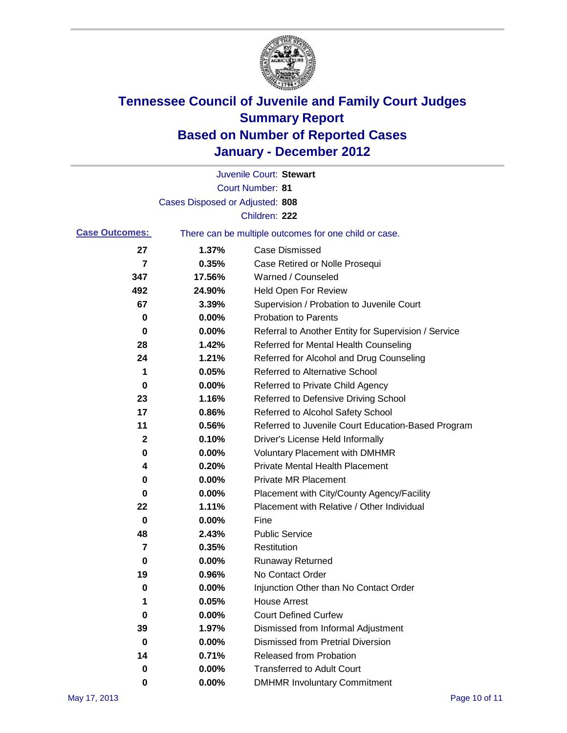

|                         |                                 | Juvenile Court: Stewart                               |
|-------------------------|---------------------------------|-------------------------------------------------------|
|                         |                                 | <b>Court Number: 81</b>                               |
|                         | Cases Disposed or Adjusted: 808 |                                                       |
|                         |                                 | Children: 222                                         |
| <b>Case Outcomes:</b>   |                                 | There can be multiple outcomes for one child or case. |
| 27                      | 1.37%                           | <b>Case Dismissed</b>                                 |
| $\overline{\mathbf{r}}$ | 0.35%                           | Case Retired or Nolle Prosequi                        |
| 347                     | 17.56%                          | Warned / Counseled                                    |
| 492                     | 24.90%                          | <b>Held Open For Review</b>                           |
| 67                      | 3.39%                           | Supervision / Probation to Juvenile Court             |
| 0                       | 0.00%                           | <b>Probation to Parents</b>                           |
| 0                       | 0.00%                           | Referral to Another Entity for Supervision / Service  |
| 28                      | 1.42%                           | Referred for Mental Health Counseling                 |
| 24                      | 1.21%                           | Referred for Alcohol and Drug Counseling              |
| 1                       | 0.05%                           | <b>Referred to Alternative School</b>                 |
| 0                       | 0.00%                           | Referred to Private Child Agency                      |
| 23                      | 1.16%                           | Referred to Defensive Driving School                  |
| 17                      | 0.86%                           | Referred to Alcohol Safety School                     |
| 11                      | 0.56%                           | Referred to Juvenile Court Education-Based Program    |
| 2                       | 0.10%                           | Driver's License Held Informally                      |
| 0                       | 0.00%                           | <b>Voluntary Placement with DMHMR</b>                 |
| 4                       | 0.20%                           | <b>Private Mental Health Placement</b>                |
| 0                       | 0.00%                           | <b>Private MR Placement</b>                           |
| 0                       | 0.00%                           | Placement with City/County Agency/Facility            |
| 22                      | 1.11%                           | Placement with Relative / Other Individual            |
| 0                       | 0.00%                           | Fine                                                  |
| 48                      | 2.43%                           | <b>Public Service</b>                                 |
| 7                       | 0.35%                           | Restitution                                           |
| 0                       | 0.00%                           | <b>Runaway Returned</b>                               |
| 19                      | 0.96%                           | No Contact Order                                      |
| 0                       | 0.00%                           | Injunction Other than No Contact Order                |
| 1                       | 0.05%                           | <b>House Arrest</b>                                   |
| 0                       | 0.00%                           | <b>Court Defined Curfew</b>                           |
| 39                      | 1.97%                           | Dismissed from Informal Adjustment                    |
| 0                       | 0.00%                           | <b>Dismissed from Pretrial Diversion</b>              |
| 14                      | 0.71%                           | Released from Probation                               |
| 0                       | 0.00%                           | <b>Transferred to Adult Court</b>                     |
| 0                       | $0.00\%$                        | <b>DMHMR Involuntary Commitment</b>                   |